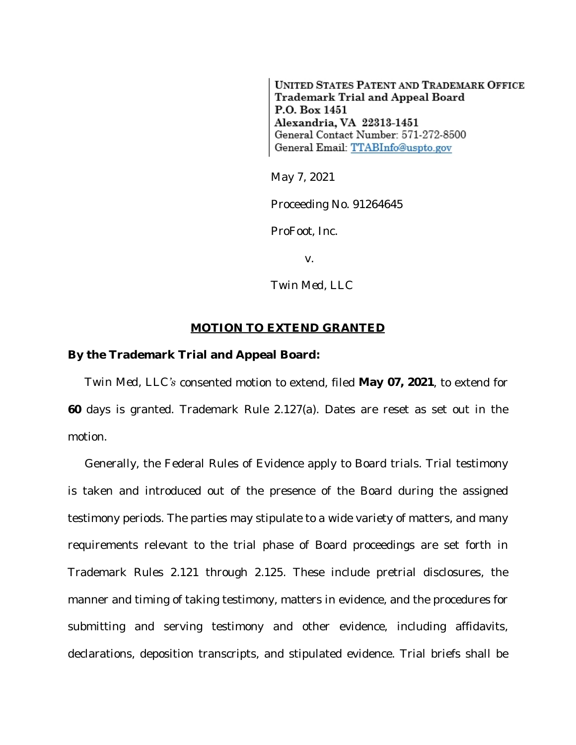**UNITED STATES PATENT AND TRADEMARK OFFICE** Trademark Trial and Appeal Board P.O. Box 1451 Alexandria, VA 22313-1451 General Contact Number: 571-272-8500 General Email: TTABInfo@uspto.gov

May 7, 2021

Proceeding No. 91264645

*ProFoot, Inc.*

v.

*Twin Med, LLC*

## **MOTION TO EXTEND GRANTED**

## **By the Trademark Trial and Appeal Board:**

*Twin Med, LLC's* consented motion to extend, filed **May 07, 2021**, to extend for **60** days is granted. Trademark Rule 2.127(a). Dates are reset as set out in the motion.

Generally, the Federal Rules of Evidence apply to Board trials. Trial testimony is taken and introduced out of the presence of the Board during the assigned testimony periods. The parties may stipulate to a wide variety of matters, and many requirements relevant to the trial phase of Board proceedings are set forth in Trademark Rules 2.121 through 2.125. These include pretrial disclosures, the manner and timing of taking testimony, matters in evidence, and the procedures for submitting and serving testimony and other evidence, including affidavits, declarations, deposition transcripts, and stipulated evidence. Trial briefs shall be